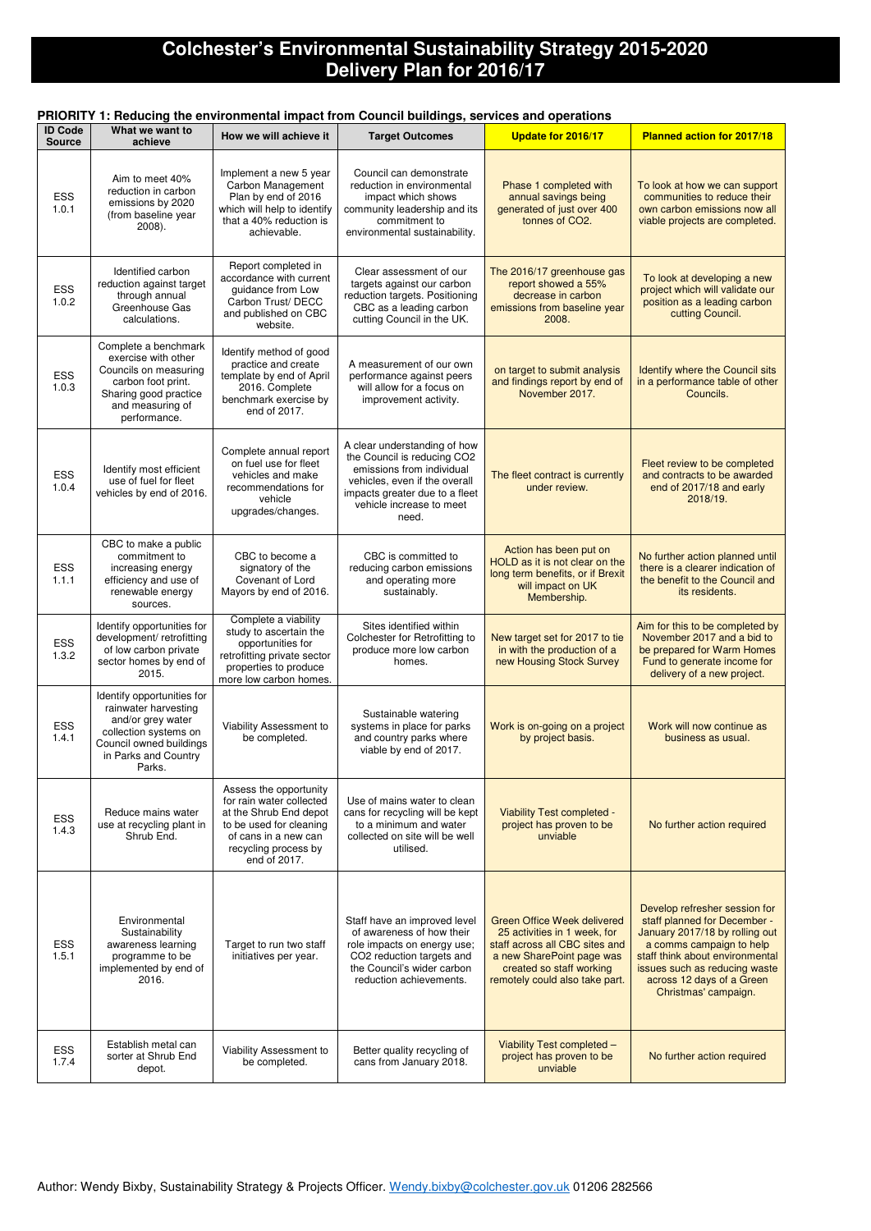## **Colchester's Environmental Sustainability Strategy 2015-2020 Delivery Plan for 2016/17**

### **PRIORITY 1: Reducing the environmental impact from Council buildings, services and operations**

### **ID Code Source What we want to achieve How we will achieve it Target Outcomes Update for 2016/17 Planned action for 2017/18** ESS 1.0.1 Aim to meet 40% reduction in carbon emissions by 2020 (from baseline year 2008). Implement a new 5 year Carbon Management Plan by end of 2016 which will help to identify that a 40% reduction is achievable. Council can demonstrate reduction in environmental impact which shows community leadership and its commitment to environmental sustainability. Phase 1 completed with annual savings being generated of just over 400 tonnes of CO2. To look at how we can support communities to reduce their own carbon emissions now all viable projects are completed. ESS 1.0.2 Identified carbon reduction against target through annual Greenhouse Gas calculations. Report completed in accordance with current guidance from Low Carbon Trust/ DECC and published on CBC website. Clear assessment of our targets against our carbon reduction targets. Positioning CBC as a leading carbon cutting Council in the UK. The 2016/17 greenhouse gas report showed a 55% decrease in carbon emissions from baseline year 2008. To look at developing a new project which will validate our position as a leading carbon cutting Council. ESS 1.0.3 Complete a benchmark exercise with other Councils on measuring carbon foot print. Sharing good practice and measuring of performance. Identify method of good practice and create template by end of April 2016. Complete benchmark exercise by end of 2017. A measurement of our own performance against peers will allow for a focus on improvement activity. on target to submit analysis and findings report by end of November 2017. Identify where the Council sits in a performance table of other Councils. ESS 1.0.4 Identify most efficient use of fuel for fleet vehicles by end of 2016. Complete annual report on fuel use for fleet vehicles and make recommendations for vehicle upgrades/changes. A clear understanding of how the Council is reducing CO2 emissions from individual vehicles, even if the overall impacts greater due to a fleet vehicle increase to meet need. The fleet contract is currently under review. Fleet review to be completed and contracts to be awarded end of 2017/18 and early 2018/19. ESS 1.1.1 CBC to make a public commitment to increasing energy efficiency and use of renewable energy sources. CBC to become a signatory of the Covenant of Lord Mayors by end of 2016. CBC is committed to reducing carbon emissions and operating more sustainably. Action has been put on HOLD as it is not clear on the long term benefits, or if Brexit will impact on UK Membership. No further action planned until there is a clearer indication of the benefit to the Council and its residents. ESS 1.3.2 Identify opportunities for development/ retrofitting of low carbon private sector homes by end of 2015. Complete a viability study to ascertain the opportunities for retrofitting private sector properties to produce more low carbon homes. Sites identified within Colchester for Retrofitting to produce more low carbon homes. New target set for 2017 to tie in with the production of a new Housing Stock Survey Aim for this to be completed by November 2017 and a bid to be prepared for Warm Homes Fund to generate income for delivery of a new project. ESS 1.4.1 Identify opportunities for rainwater harvesting and/or grey water collection systems on Council owned buildings in Parks and Country Parks. Viability Assessment to be completed. Sustainable watering systems in place for parks and country parks where viable by end of 2017. Work is on-going on a project by project basis. Work will now continue as business as usual. ESS 1.4.3 Reduce mains water use at recycling plant in Shrub End. Assess the opportunity for rain water collected at the Shrub End depot to be used for cleaning of cans in a new can recycling process by end of 2017. Use of mains water to clean cans for recycling will be kept to a minimum and water collected on site will be well utilised. Viability Test completed project has proven to be unviable No further action required Develop refresher session for

Environmental

Staff have an improved level Green Office Week delivered staff planned for December -

| <b>ESS</b><br>1.5.1 | Sustainability<br>awareness learning<br>programme to be<br>implemented by end of<br>2016. | Target to run two staff<br>initiatives per year. | of awareness of how their<br>role impacts on energy use;<br>CO <sub>2</sub> reduction targets and<br>the Council's wider carbon<br>reduction achievements. | 25 activities in 1 week, for<br>staff across all CBC sites and<br>a new SharePoint page was<br>created so staff working<br>remotely could also take part. | January 2017/18 by rolling out<br>a comms campaign to help<br>staff think about environmental<br>issues such as reducing waste<br>across 12 days of a Green<br>Christmas' campaign. |
|---------------------|-------------------------------------------------------------------------------------------|--------------------------------------------------|------------------------------------------------------------------------------------------------------------------------------------------------------------|-----------------------------------------------------------------------------------------------------------------------------------------------------------|-------------------------------------------------------------------------------------------------------------------------------------------------------------------------------------|
| <b>ESS</b><br>1.7.4 | Establish metal can<br>sorter at Shrub End<br>depot.                                      | Viability Assessment to<br>be completed.         | Better quality recycling of<br>cans from January 2018.                                                                                                     | Viability Test completed -<br>project has proven to be<br>unviable                                                                                        | No further action required                                                                                                                                                          |

Author: Wendy Bixby, Sustainability Strategy & Projects Officer. Wendy.bixby@colchester.gov.uk 01206 282566